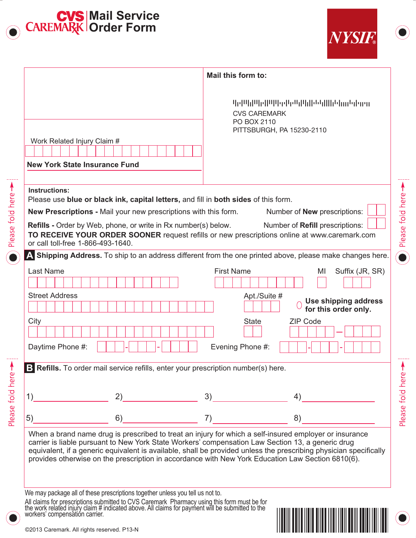

Please fold here >

Please fold here >



<u> III maanda ka mid maalaa ka mid maalaa ka mid maalaa ka mid maalaa ka mid maalaa ka mid maalaa ka mid maalaa</u>

|                                                                                                                                                                                                        | Mail this form to:                                                                                                                                                                                                          |
|--------------------------------------------------------------------------------------------------------------------------------------------------------------------------------------------------------|-----------------------------------------------------------------------------------------------------------------------------------------------------------------------------------------------------------------------------|
| Work Related Injury Claim #                                                                                                                                                                            | 4094000000900000000000000000000000000<br><b>CVS CAREMARK</b><br>PO BOX 2110<br>PITTSBURGH, PA 15230-2110                                                                                                                    |
|                                                                                                                                                                                                        |                                                                                                                                                                                                                             |
| <b>New York State Insurance Fund</b>                                                                                                                                                                   |                                                                                                                                                                                                                             |
|                                                                                                                                                                                                        |                                                                                                                                                                                                                             |
| <b>Instructions:</b><br>Please use blue or black ink, capital letters, and fill in both sides of this form.                                                                                            |                                                                                                                                                                                                                             |
| New Prescriptions - Mail your new prescriptions with this form.                                                                                                                                        | Number of <b>New</b> prescriptions:                                                                                                                                                                                         |
| Refills - Order by Web, phone, or write in Rx number(s) below.<br>or call toll-free 1-866-493-1640.                                                                                                    | Number of Refill prescriptions:<br>TO RECEIVE YOUR ORDER SOONER request refills or new prescriptions online at www.caremark.com                                                                                             |
|                                                                                                                                                                                                        | A Shipping Address. To ship to an address different from the one printed above, please make changes here.                                                                                                                   |
| <b>Last Name</b>                                                                                                                                                                                       | <b>First Name</b><br>Suffix (JR, SR)<br>MI                                                                                                                                                                                  |
| <b>Street Address</b>                                                                                                                                                                                  | Apt./Suite #<br>Use shipping address<br>for this order only.                                                                                                                                                                |
| City<br>Daytime Phone #:                                                                                                                                                                               | <b>ZIP Code</b><br><b>State</b><br>Evening Phone #:                                                                                                                                                                         |
| B Refills. To order mail service refills, enter your prescription number(s) here.                                                                                                                      |                                                                                                                                                                                                                             |
| 1)<br>2)                                                                                                                                                                                               | 3)<br>4)                                                                                                                                                                                                                    |
| 5)<br>6)                                                                                                                                                                                               | 7)<br>8)                                                                                                                                                                                                                    |
| carrier is liable pursuant to New York State Workers' compensation Law Section 13, a generic drug<br>provides otherwise on the prescription in accordance with New York Education Law Section 6810(6). | When a brand name drug is prescribed to treat an injury for which a self-insured employer or insurance<br>equivalent, if a generic equivalent is available, shall be provided unless the prescribing physician specifically |
| We may package all of these prescriptions together unless you tell us not to.<br>All claims for prescriptions submitted to CVS Caremark Pharmacy using this form must be for                           |                                                                                                                                                                                                                             |

©2013 Caremark. All rights reserved. P13-N

workers' compensatión carrier.

the work related injury claim # indicated above. All claims for payment will be submitted to the